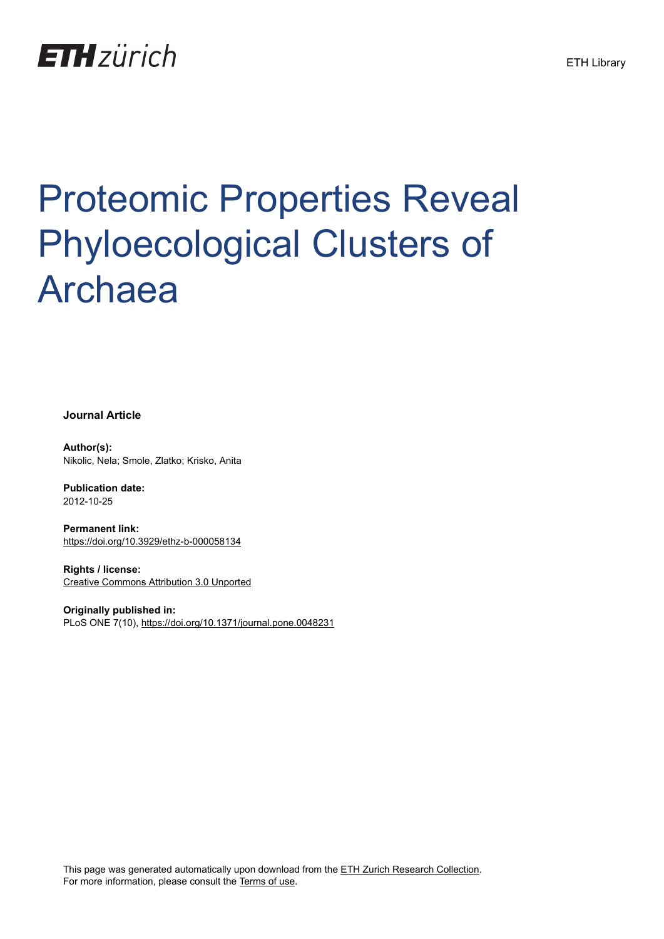

# Proteomic Properties Reveal Phyloecological Clusters of Archaea

**Journal Article**

**Author(s):** Nikolic, Nela; Smole, Zlatko; Krisko, Anita

**Publication date:** 2012-10-25

**Permanent link:** <https://doi.org/10.3929/ethz-b-000058134>

**Rights / license:** [Creative Commons Attribution 3.0 Unported](http://creativecommons.org/licenses/by/3.0/)

**Originally published in:** PLoS ONE 7(10), <https://doi.org/10.1371/journal.pone.0048231>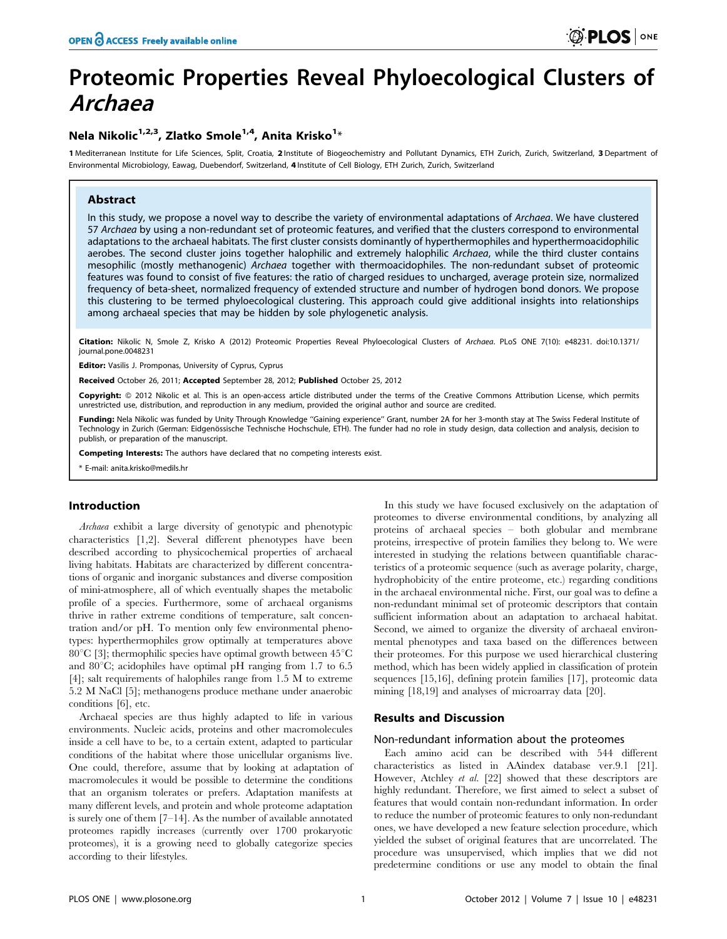# Proteomic Properties Reveal Phyloecological Clusters of Archaea

# Nela Nikolic $^{1,2,3}$ , Zlatko Smole $^{1,4}$ , Anita Krisko $^{1_\star}$

1 Mediterranean Institute for Life Sciences, Split, Croatia, 2 Institute of Biogeochemistry and Pollutant Dynamics, ETH Zurich, Zurich, Switzerland, 3 Department of Environmental Microbiology, Eawag, Duebendorf, Switzerland, 4 Institute of Cell Biology, ETH Zurich, Zurich, Switzerland

# Abstract

In this study, we propose a novel way to describe the variety of environmental adaptations of Archaea. We have clustered 57 Archaea by using a non-redundant set of proteomic features, and verified that the clusters correspond to environmental adaptations to the archaeal habitats. The first cluster consists dominantly of hyperthermophiles and hyperthermoacidophilic aerobes. The second cluster joins together halophilic and extremely halophilic Archaea, while the third cluster contains mesophilic (mostly methanogenic) Archaea together with thermoacidophiles. The non-redundant subset of proteomic features was found to consist of five features: the ratio of charged residues to uncharged, average protein size, normalized frequency of beta-sheet, normalized frequency of extended structure and number of hydrogen bond donors. We propose this clustering to be termed phyloecological clustering. This approach could give additional insights into relationships among archaeal species that may be hidden by sole phylogenetic analysis.

Citation: Nikolic N, Smole Z, Krisko A (2012) Proteomic Properties Reveal Phyloecological Clusters of Archaea. PLoS ONE 7(10): e48231. doi:10.1371/ journal.pone.0048231

Editor: Vasilis J. Promponas, University of Cyprus, Cyprus

Received October 26, 2011; Accepted September 28, 2012; Published October 25, 2012

**Copyright:** © 2012 Nikolic et al. This is an open-access article distributed under the terms of the Creative Commons Attribution License, which permits unrestricted use, distribution, and reproduction in any medium, provided the original author and source are credited.

Funding: Nela Nikolic was funded by Unity Through Knowledge "Gaining experience" Grant, number 2A for her 3-month stay at The Swiss Federal Institute of Technology in Zurich (German: Eidgenössische Technische Hochschule, ETH). The funder had no role in study design, data collection and analysis, decision to publish, or preparation of the manuscript.

Competing Interests: The authors have declared that no competing interests exist.

\* E-mail: anita.krisko@medils.hr

# Introduction

Archaea exhibit a large diversity of genotypic and phenotypic characteristics [1,2]. Several different phenotypes have been described according to physicochemical properties of archaeal living habitats. Habitats are characterized by different concentrations of organic and inorganic substances and diverse composition of mini-atmosphere, all of which eventually shapes the metabolic profile of a species. Furthermore, some of archaeal organisms thrive in rather extreme conditions of temperature, salt concentration and/or pH. To mention only few environmental phenotypes: hyperthermophiles grow optimally at temperatures above 80 $^{\circ}$ C [3]; thermophilic species have optimal growth between 45 $^{\circ}$ C and  $80^{\circ}$ C; acidophiles have optimal pH ranging from 1.7 to 6.5 [4]; salt requirements of halophiles range from 1.5 M to extreme 5.2 M NaCl [5]; methanogens produce methane under anaerobic conditions [6], etc.

Archaeal species are thus highly adapted to life in various environments. Nucleic acids, proteins and other macromolecules inside a cell have to be, to a certain extent, adapted to particular conditions of the habitat where those unicellular organisms live. One could, therefore, assume that by looking at adaptation of macromolecules it would be possible to determine the conditions that an organism tolerates or prefers. Adaptation manifests at many different levels, and protein and whole proteome adaptation is surely one of them [7–14]. As the number of available annotated proteomes rapidly increases (currently over 1700 prokaryotic proteomes), it is a growing need to globally categorize species according to their lifestyles.

In this study we have focused exclusively on the adaptation of proteomes to diverse environmental conditions, by analyzing all proteins of archaeal species – both globular and membrane proteins, irrespective of protein families they belong to. We were interested in studying the relations between quantifiable characteristics of a proteomic sequence (such as average polarity, charge, hydrophobicity of the entire proteome, etc.) regarding conditions in the archaeal environmental niche. First, our goal was to define a non-redundant minimal set of proteomic descriptors that contain sufficient information about an adaptation to archaeal habitat. Second, we aimed to organize the diversity of archaeal environmental phenotypes and taxa based on the differences between their proteomes. For this purpose we used hierarchical clustering method, which has been widely applied in classification of protein sequences [15,16], defining protein families [17], proteomic data mining [18,19] and analyses of microarray data [20].

# Results and Discussion

#### Non-redundant information about the proteomes

Each amino acid can be described with 544 different characteristics as listed in AAindex database ver.9.1 [21]. However, Atchley et al. [22] showed that these descriptors are highly redundant. Therefore, we first aimed to select a subset of features that would contain non-redundant information. In order to reduce the number of proteomic features to only non-redundant ones, we have developed a new feature selection procedure, which yielded the subset of original features that are uncorrelated. The procedure was unsupervised, which implies that we did not predetermine conditions or use any model to obtain the final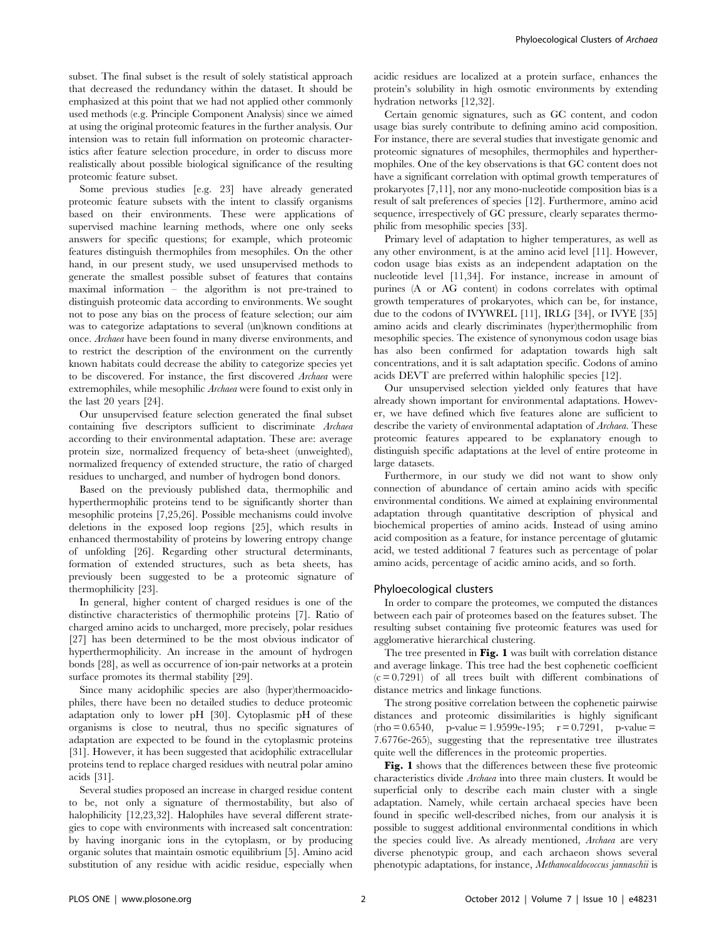subset. The final subset is the result of solely statistical approach that decreased the redundancy within the dataset. It should be emphasized at this point that we had not applied other commonly used methods (e.g. Principle Component Analysis) since we aimed at using the original proteomic features in the further analysis. Our intension was to retain full information on proteomic characteristics after feature selection procedure, in order to discuss more realistically about possible biological significance of the resulting proteomic feature subset.

Some previous studies [e.g. 23] have already generated proteomic feature subsets with the intent to classify organisms based on their environments. These were applications of supervised machine learning methods, where one only seeks answers for specific questions; for example, which proteomic features distinguish thermophiles from mesophiles. On the other hand, in our present study, we used unsupervised methods to generate the smallest possible subset of features that contains maximal information – the algorithm is not pre-trained to distinguish proteomic data according to environments. We sought not to pose any bias on the process of feature selection; our aim was to categorize adaptations to several (un)known conditions at once. Archaea have been found in many diverse environments, and to restrict the description of the environment on the currently known habitats could decrease the ability to categorize species yet to be discovered. For instance, the first discovered Archaea were extremophiles, while mesophilic Archaea were found to exist only in the last 20 years [24].

Our unsupervised feature selection generated the final subset containing five descriptors sufficient to discriminate Archaea according to their environmental adaptation. These are: average protein size, normalized frequency of beta-sheet (unweighted), normalized frequency of extended structure, the ratio of charged residues to uncharged, and number of hydrogen bond donors.

Based on the previously published data, thermophilic and hyperthermophilic proteins tend to be significantly shorter than mesophilic proteins [7,25,26]. Possible mechanisms could involve deletions in the exposed loop regions [25], which results in enhanced thermostability of proteins by lowering entropy change of unfolding [26]. Regarding other structural determinants, formation of extended structures, such as beta sheets, has previously been suggested to be a proteomic signature of thermophilicity [23].

In general, higher content of charged residues is one of the distinctive characteristics of thermophilic proteins [7]. Ratio of charged amino acids to uncharged, more precisely, polar residues [27] has been determined to be the most obvious indicator of hyperthermophilicity. An increase in the amount of hydrogen bonds [28], as well as occurrence of ion-pair networks at a protein surface promotes its thermal stability [29].

Since many acidophilic species are also (hyper)thermoacidophiles, there have been no detailed studies to deduce proteomic adaptation only to lower pH [30]. Cytoplasmic pH of these organisms is close to neutral, thus no specific signatures of adaptation are expected to be found in the cytoplasmic proteins [31]. However, it has been suggested that acidophilic extracellular proteins tend to replace charged residues with neutral polar amino acids [31].

Several studies proposed an increase in charged residue content to be, not only a signature of thermostability, but also of halophilicity [12,23,32]. Halophiles have several different strategies to cope with environments with increased salt concentration: by having inorganic ions in the cytoplasm, or by producing organic solutes that maintain osmotic equilibrium [5]. Amino acid substitution of any residue with acidic residue, especially when acidic residues are localized at a protein surface, enhances the protein's solubility in high osmotic environments by extending hydration networks [12,32].

Certain genomic signatures, such as GC content, and codon usage bias surely contribute to defining amino acid composition. For instance, there are several studies that investigate genomic and proteomic signatures of mesophiles, thermophiles and hyperthermophiles. One of the key observations is that GC content does not have a significant correlation with optimal growth temperatures of prokaryotes [7,11], nor any mono-nucleotide composition bias is a result of salt preferences of species [12]. Furthermore, amino acid sequence, irrespectively of GC pressure, clearly separates thermophilic from mesophilic species [33].

Primary level of adaptation to higher temperatures, as well as any other environment, is at the amino acid level [11]. However, codon usage bias exists as an independent adaptation on the nucleotide level [11,34]. For instance, increase in amount of purines (A or AG content) in codons correlates with optimal growth temperatures of prokaryotes, which can be, for instance, due to the codons of IVYWREL [11], IRLG [34], or IVYE [35] amino acids and clearly discriminates (hyper)thermophilic from mesophilic species. The existence of synonymous codon usage bias has also been confirmed for adaptation towards high salt concentrations, and it is salt adaptation specific. Codons of amino acids DEVT are preferred within halophilic species [12].

Our unsupervised selection yielded only features that have already shown important for environmental adaptations. However, we have defined which five features alone are sufficient to describe the variety of environmental adaptation of Archaea. These proteomic features appeared to be explanatory enough to distinguish specific adaptations at the level of entire proteome in large datasets.

Furthermore, in our study we did not want to show only connection of abundance of certain amino acids with specific environmental conditions. We aimed at explaining environmental adaptation through quantitative description of physical and biochemical properties of amino acids. Instead of using amino acid composition as a feature, for instance percentage of glutamic acid, we tested additional 7 features such as percentage of polar amino acids, percentage of acidic amino acids, and so forth.

#### Phyloecological clusters

In order to compare the proteomes, we computed the distances between each pair of proteomes based on the features subset. The resulting subset containing five proteomic features was used for agglomerative hierarchical clustering.

The tree presented in Fig. 1 was built with correlation distance and average linkage. This tree had the best cophenetic coefficient  $(c = 0.7291)$  of all trees built with different combinations of distance metrics and linkage functions.

The strong positive correlation between the cophenetic pairwise distances and proteomic dissimilarities is highly significant  $(rho = 0.6540, p-value = 1.9599e-195; r = 0.7291, p-value =$ 7.6776e-265), suggesting that the representative tree illustrates quite well the differences in the proteomic properties.

Fig. 1 shows that the differences between these five proteomic characteristics divide Archaea into three main clusters. It would be superficial only to describe each main cluster with a single adaptation. Namely, while certain archaeal species have been found in specific well-described niches, from our analysis it is possible to suggest additional environmental conditions in which the species could live. As already mentioned, Archaea are very diverse phenotypic group, and each archaeon shows several phenotypic adaptations, for instance, Methanocaldococcus jannaschii is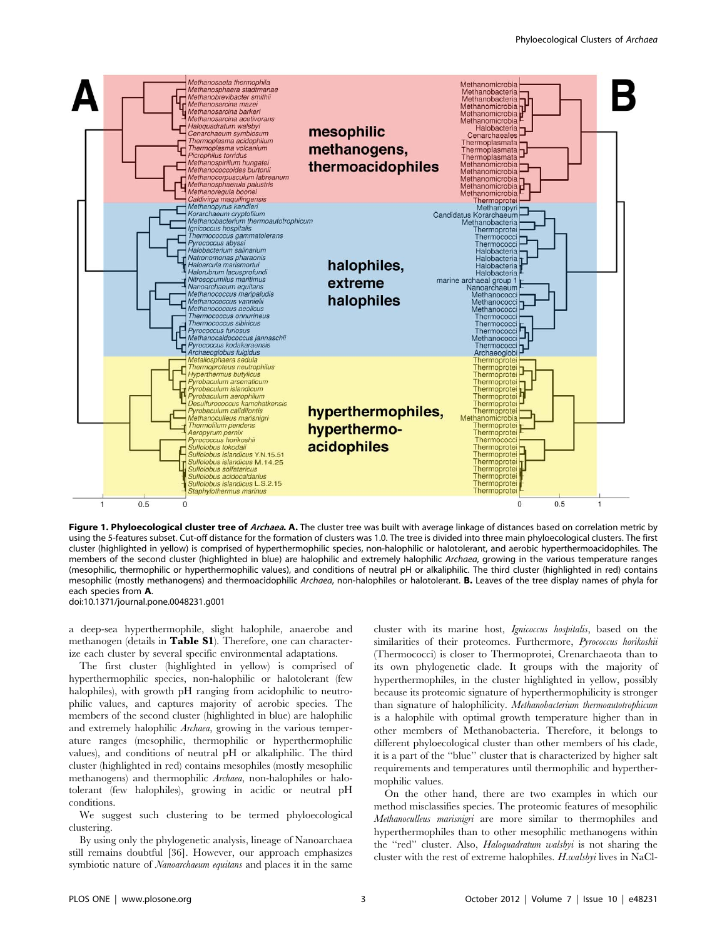

Figure 1. Phyloecological cluster tree of Archaea. A. The cluster tree was built with average linkage of distances based on correlation metric by using the 5-features subset. Cut-off distance for the formation of clusters was 1.0. The tree is divided into three main phyloecological clusters. The first cluster (highlighted in yellow) is comprised of hyperthermophilic species, non-halophilic or halotolerant, and aerobic hyperthermoacidophiles. The members of the second cluster (highlighted in blue) are halophilic and extremely halophilic Archaea, growing in the various temperature ranges (mesophilic, thermophilic or hyperthermophilic values), and conditions of neutral pH or alkaliphilic. The third cluster (highlighted in red) contains mesophilic (mostly methanogens) and thermoacidophilic Archaea, non-halophiles or halotolerant. B. Leaves of the tree display names of phyla for each species from A.

doi:10.1371/journal.pone.0048231.g001

a deep-sea hyperthermophile, slight halophile, anaerobe and methanogen (details in Table S1). Therefore, one can characterize each cluster by several specific environmental adaptations.

The first cluster (highlighted in yellow) is comprised of hyperthermophilic species, non-halophilic or halotolerant (few halophiles), with growth pH ranging from acidophilic to neutrophilic values, and captures majority of aerobic species. The members of the second cluster (highlighted in blue) are halophilic and extremely halophilic Archaea, growing in the various temperature ranges (mesophilic, thermophilic or hyperthermophilic values), and conditions of neutral pH or alkaliphilic. The third cluster (highlighted in red) contains mesophiles (mostly mesophilic methanogens) and thermophilic Archaea, non-halophiles or halotolerant (few halophiles), growing in acidic or neutral pH conditions.

We suggest such clustering to be termed phyloecological clustering.

By using only the phylogenetic analysis, lineage of Nanoarchaea still remains doubtful [36]. However, our approach emphasizes symbiotic nature of Nanoarchaeum equitans and places it in the same

cluster with its marine host, Ignicoccus hospitalis, based on the similarities of their proteomes. Furthermore, Pyrococcus horikoshii (Thermococci) is closer to Thermoprotei, Crenarchaeota than to its own phylogenetic clade. It groups with the majority of hyperthermophiles, in the cluster highlighted in yellow, possibly because its proteomic signature of hyperthermophilicity is stronger than signature of halophilicity. Methanobacterium thermoautotrophicum is a halophile with optimal growth temperature higher than in other members of Methanobacteria. Therefore, it belongs to different phyloecological cluster than other members of his clade, it is a part of the ''blue'' cluster that is characterized by higher salt requirements and temperatures until thermophilic and hyperthermophilic values.

On the other hand, there are two examples in which our method misclassifies species. The proteomic features of mesophilic Methanoculleus marisnigri are more similar to thermophiles and hyperthermophiles than to other mesophilic methanogens within the ''red'' cluster. Also, Haloquadratum walsbyi is not sharing the cluster with the rest of extreme halophiles. H.walsbyi lives in NaCl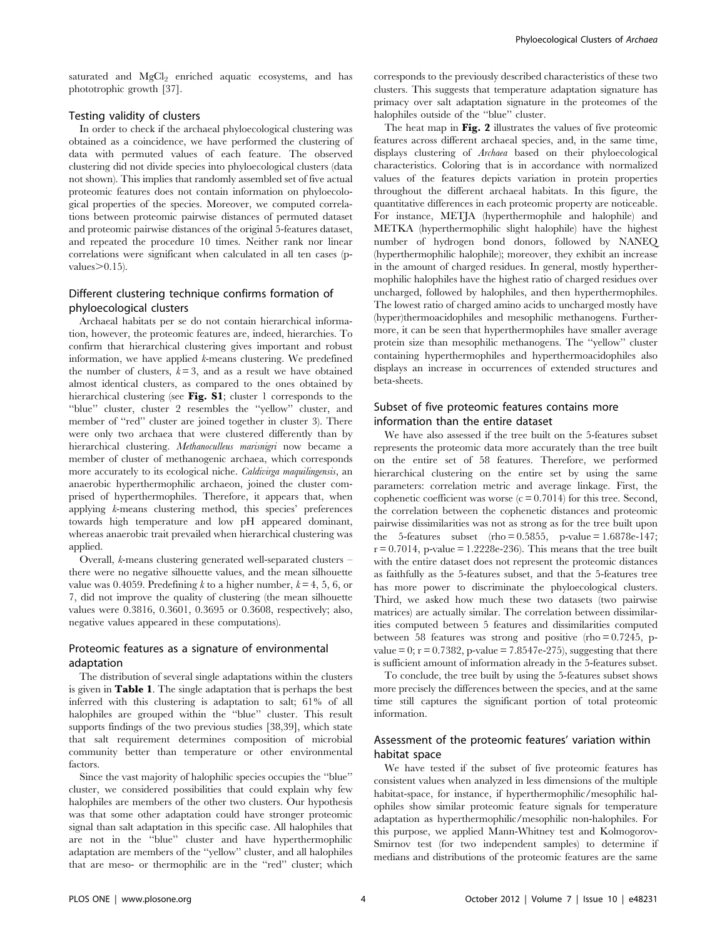saturated and MgCl<sub>2</sub> enriched aquatic ecosystems, and has phototrophic growth [37].

# Testing validity of clusters

In order to check if the archaeal phyloecological clustering was obtained as a coincidence, we have performed the clustering of data with permuted values of each feature. The observed clustering did not divide species into phyloecological clusters (data not shown). This implies that randomly assembled set of five actual proteomic features does not contain information on phyloecological properties of the species. Moreover, we computed correlations between proteomic pairwise distances of permuted dataset and proteomic pairwise distances of the original 5-features dataset, and repeated the procedure 10 times. Neither rank nor linear correlations were significant when calculated in all ten cases (pvalues $\geq 0.15$ ).

# Different clustering technique confirms formation of phyloecological clusters

Archaeal habitats per se do not contain hierarchical information, however, the proteomic features are, indeed, hierarchies. To confirm that hierarchical clustering gives important and robust information, we have applied k-means clustering. We predefined the number of clusters,  $k = 3$ , and as a result we have obtained almost identical clusters, as compared to the ones obtained by hierarchical clustering (see Fig. S1; cluster 1 corresponds to the ''blue'' cluster, cluster 2 resembles the ''yellow'' cluster, and member of ''red'' cluster are joined together in cluster 3). There were only two archaea that were clustered differently than by hierarchical clustering. Methanoculleus marisnigri now became a member of cluster of methanogenic archaea, which corresponds more accurately to its ecological niche. Caldivirga maquilingensis, an anaerobic hyperthermophilic archaeon, joined the cluster comprised of hyperthermophiles. Therefore, it appears that, when applying k-means clustering method, this species' preferences towards high temperature and low pH appeared dominant, whereas anaerobic trait prevailed when hierarchical clustering was applied.

Overall, k-means clustering generated well-separated clusters – there were no negative silhouette values, and the mean silhouette value was 0.4059. Predefining k to a higher number,  $k = 4, 5, 6$ , or 7, did not improve the quality of clustering (the mean silhouette values were 0.3816, 0.3601, 0.3695 or 0.3608, respectively; also, negative values appeared in these computations).

# Proteomic features as a signature of environmental adaptation

The distribution of several single adaptations within the clusters is given in Table 1. The single adaptation that is perhaps the best inferred with this clustering is adaptation to salt; 61% of all halophiles are grouped within the ''blue'' cluster. This result supports findings of the two previous studies [38,39], which state that salt requirement determines composition of microbial community better than temperature or other environmental factors.

Since the vast majority of halophilic species occupies the ''blue'' cluster, we considered possibilities that could explain why few halophiles are members of the other two clusters. Our hypothesis was that some other adaptation could have stronger proteomic signal than salt adaptation in this specific case. All halophiles that are not in the ''blue'' cluster and have hyperthermophilic adaptation are members of the ''yellow'' cluster, and all halophiles that are meso- or thermophilic are in the ''red'' cluster; which corresponds to the previously described characteristics of these two clusters. This suggests that temperature adaptation signature has primacy over salt adaptation signature in the proteomes of the halophiles outside of the ''blue'' cluster.

The heat map in Fig. 2 illustrates the values of five proteomic features across different archaeal species, and, in the same time, displays clustering of Archaea based on their phyloecological characteristics. Coloring that is in accordance with normalized values of the features depicts variation in protein properties throughout the different archaeal habitats. In this figure, the quantitative differences in each proteomic property are noticeable. For instance, METJA (hyperthermophile and halophile) and METKA (hyperthermophilic slight halophile) have the highest number of hydrogen bond donors, followed by NANEQ (hyperthermophilic halophile); moreover, they exhibit an increase in the amount of charged residues. In general, mostly hyperthermophilic halophiles have the highest ratio of charged residues over uncharged, followed by halophiles, and then hyperthermophiles. The lowest ratio of charged amino acids to uncharged mostly have (hyper)thermoacidophiles and mesophilic methanogens. Furthermore, it can be seen that hyperthermophiles have smaller average protein size than mesophilic methanogens. The ''yellow'' cluster containing hyperthermophiles and hyperthermoacidophiles also displays an increase in occurrences of extended structures and beta-sheets.

# Subset of five proteomic features contains more information than the entire dataset

We have also assessed if the tree built on the 5-features subset represents the proteomic data more accurately than the tree built on the entire set of 58 features. Therefore, we performed hierarchical clustering on the entire set by using the same parameters: correlation metric and average linkage. First, the cophenetic coefficient was worse  $(c = 0.7014)$  for this tree. Second, the correlation between the cophenetic distances and proteomic pairwise dissimilarities was not as strong as for the tree built upon the 5-features subset  $(rho = 0.5855, p-value = 1.6878e-147;$  $r = 0.7014$ , p-value = 1.2228e-236). This means that the tree built with the entire dataset does not represent the proteomic distances as faithfully as the 5-features subset, and that the 5-features tree has more power to discriminate the phyloecological clusters. Third, we asked how much these two datasets (two pairwise matrices) are actually similar. The correlation between dissimilarities computed between 5 features and dissimilarities computed between 58 features was strong and positive (rho  $= 0.7245$ , pvalue = 0;  $r = 0.7382$ , p-value = 7.8547e-275), suggesting that there is sufficient amount of information already in the 5-features subset.

To conclude, the tree built by using the 5-features subset shows more precisely the differences between the species, and at the same time still captures the significant portion of total proteomic information.

# Assessment of the proteomic features' variation within habitat space

We have tested if the subset of five proteomic features has consistent values when analyzed in less dimensions of the multiple habitat-space, for instance, if hyperthermophilic/mesophilic halophiles show similar proteomic feature signals for temperature adaptation as hyperthermophilic/mesophilic non-halophiles. For this purpose, we applied Mann-Whitney test and Kolmogorov-Smirnov test (for two independent samples) to determine if medians and distributions of the proteomic features are the same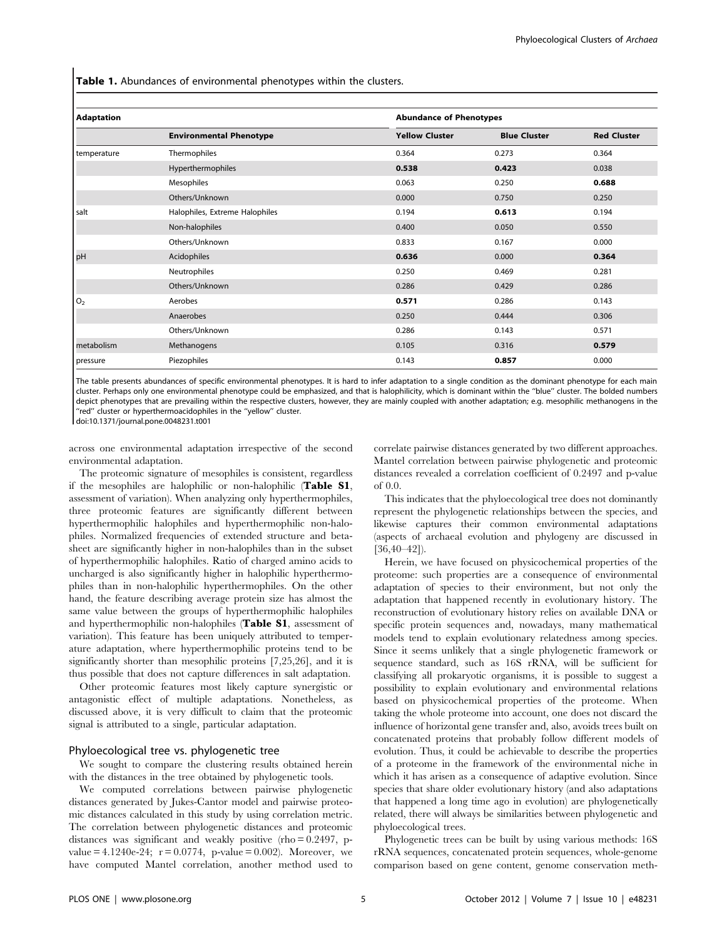Table 1. Abundances of environmental phenotypes within the clusters.

| <b>Adaptation</b> |                                | <b>Abundance of Phenotypes</b> |                     |                    |
|-------------------|--------------------------------|--------------------------------|---------------------|--------------------|
|                   | <b>Environmental Phenotype</b> | <b>Yellow Cluster</b>          | <b>Blue Cluster</b> | <b>Red Cluster</b> |
| temperature       | Thermophiles                   | 0.364                          | 0.273               | 0.364              |
|                   | Hyperthermophiles              | 0.538                          | 0.423               | 0.038              |
|                   | Mesophiles                     | 0.063                          | 0.250               | 0.688              |
|                   | Others/Unknown                 | 0.000                          | 0.750               | 0.250              |
| salt              | Halophiles, Extreme Halophiles | 0.194                          | 0.613               | 0.194              |
|                   | Non-halophiles                 | 0.400                          | 0.050               | 0.550              |
|                   | Others/Unknown                 | 0.833                          | 0.167               | 0.000              |
| <b>pH</b>         | Acidophiles                    | 0.636                          | 0.000               | 0.364              |
|                   | Neutrophiles                   | 0.250                          | 0.469               | 0.281              |
|                   | Others/Unknown                 | 0.286                          | 0.429               | 0.286              |
| lo,               | Aerobes                        | 0.571                          | 0.286               | 0.143              |
|                   | Anaerobes                      | 0.250                          | 0.444               | 0.306              |
|                   | Others/Unknown                 | 0.286                          | 0.143               | 0.571              |
| metabolism        | Methanogens                    | 0.105                          | 0.316               | 0.579              |
| pressure          | Piezophiles                    | 0.143                          | 0.857               | 0.000              |

The table presents abundances of specific environmental phenotypes. It is hard to infer adaptation to a single condition as the dominant phenotype for each main cluster. Perhaps only one environmental phenotype could be emphasized, and that is halophilicity, which is dominant within the ''blue'' cluster. The bolded numbers depict phenotypes that are prevailing within the respective clusters, however, they are mainly coupled with another adaptation; e.g. mesophilic methanogens in the ''red'' cluster or hyperthermoacidophiles in the ''yellow'' cluster.

doi:10.1371/journal.pone.0048231.t001

across one environmental adaptation irrespective of the second environmental adaptation.

The proteomic signature of mesophiles is consistent, regardless if the mesophiles are halophilic or non-halophilic (Table S1, assessment of variation). When analyzing only hyperthermophiles, three proteomic features are significantly different between hyperthermophilic halophiles and hyperthermophilic non-halophiles. Normalized frequencies of extended structure and betasheet are significantly higher in non-halophiles than in the subset of hyperthermophilic halophiles. Ratio of charged amino acids to uncharged is also significantly higher in halophilic hyperthermophiles than in non-halophilic hyperthermophiles. On the other hand, the feature describing average protein size has almost the same value between the groups of hyperthermophilic halophiles and hyperthermophilic non-halophiles (Table S1, assessment of variation). This feature has been uniquely attributed to temperature adaptation, where hyperthermophilic proteins tend to be significantly shorter than mesophilic proteins [7,25,26], and it is thus possible that does not capture differences in salt adaptation.

Other proteomic features most likely capture synergistic or antagonistic effect of multiple adaptations. Nonetheless, as discussed above, it is very difficult to claim that the proteomic signal is attributed to a single, particular adaptation.

#### Phyloecological tree vs. phylogenetic tree

We sought to compare the clustering results obtained herein with the distances in the tree obtained by phylogenetic tools.

We computed correlations between pairwise phylogenetic distances generated by Jukes-Cantor model and pairwise proteomic distances calculated in this study by using correlation metric. The correlation between phylogenetic distances and proteomic distances was significant and weakly positive (rho = 0.2497, pvalue =  $4.1240e-24$ ;  $r = 0.0774$ , p-value = 0.002). Moreover, we have computed Mantel correlation, another method used to correlate pairwise distances generated by two different approaches. Mantel correlation between pairwise phylogenetic and proteomic distances revealed a correlation coefficient of 0.2497 and p-value of 0.0.

This indicates that the phyloecological tree does not dominantly represent the phylogenetic relationships between the species, and likewise captures their common environmental adaptations (aspects of archaeal evolution and phylogeny are discussed in  $[36,40-42]$ .

Herein, we have focused on physicochemical properties of the proteome: such properties are a consequence of environmental adaptation of species to their environment, but not only the adaptation that happened recently in evolutionary history. The reconstruction of evolutionary history relies on available DNA or specific protein sequences and, nowadays, many mathematical models tend to explain evolutionary relatedness among species. Since it seems unlikely that a single phylogenetic framework or sequence standard, such as 16S rRNA, will be sufficient for classifying all prokaryotic organisms, it is possible to suggest a possibility to explain evolutionary and environmental relations based on physicochemical properties of the proteome. When taking the whole proteome into account, one does not discard the influence of horizontal gene transfer and, also, avoids trees built on concatenated proteins that probably follow different models of evolution. Thus, it could be achievable to describe the properties of a proteome in the framework of the environmental niche in which it has arisen as a consequence of adaptive evolution. Since species that share older evolutionary history (and also adaptations that happened a long time ago in evolution) are phylogenetically related, there will always be similarities between phylogenetic and phyloecological trees.

Phylogenetic trees can be built by using various methods: 16S rRNA sequences, concatenated protein sequences, whole-genome comparison based on gene content, genome conservation meth-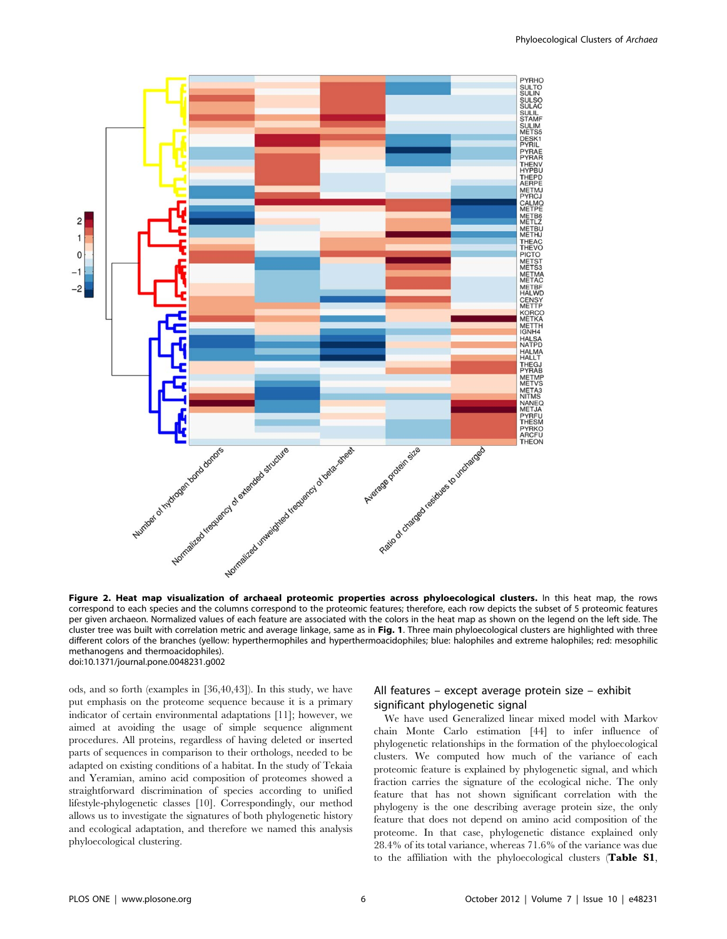

Figure 2. Heat map visualization of archaeal proteomic properties across phyloecological clusters. In this heat map, the rows correspond to each species and the columns correspond to the proteomic features; therefore, each row depicts the subset of 5 proteomic features per given archaeon. Normalized values of each feature are associated with the colors in the heat map as shown on the legend on the left side. The cluster tree was built with correlation metric and average linkage, same as in Fig. 1. Three main phyloecological clusters are highlighted with three different colors of the branches (yellow: hyperthermophiles and hyperthermoacidophiles; blue: halophiles and extreme halophiles; red: mesophilic methanogens and thermoacidophiles). doi:10.1371/journal.pone.0048231.g002

ods, and so forth (examples in [36,40,43]). In this study, we have put emphasis on the proteome sequence because it is a primary indicator of certain environmental adaptations [11]; however, we aimed at avoiding the usage of simple sequence alignment procedures. All proteins, regardless of having deleted or inserted parts of sequences in comparison to their orthologs, needed to be adapted on existing conditions of a habitat. In the study of Tekaia and Yeramian, amino acid composition of proteomes showed a straightforward discrimination of species according to unified lifestyle-phylogenetic classes [10]. Correspondingly, our method allows us to investigate the signatures of both phylogenetic history and ecological adaptation, and therefore we named this analysis phyloecological clustering.

# All features – except average protein size – exhibit significant phylogenetic signal

We have used Generalized linear mixed model with Markov chain Monte Carlo estimation [44] to infer influence of phylogenetic relationships in the formation of the phyloecological clusters. We computed how much of the variance of each proteomic feature is explained by phylogenetic signal, and which fraction carries the signature of the ecological niche. The only feature that has not shown significant correlation with the phylogeny is the one describing average protein size, the only feature that does not depend on amino acid composition of the proteome. In that case, phylogenetic distance explained only 28.4% of its total variance, whereas 71.6% of the variance was due to the affiliation with the phyloecological clusters (Table S1,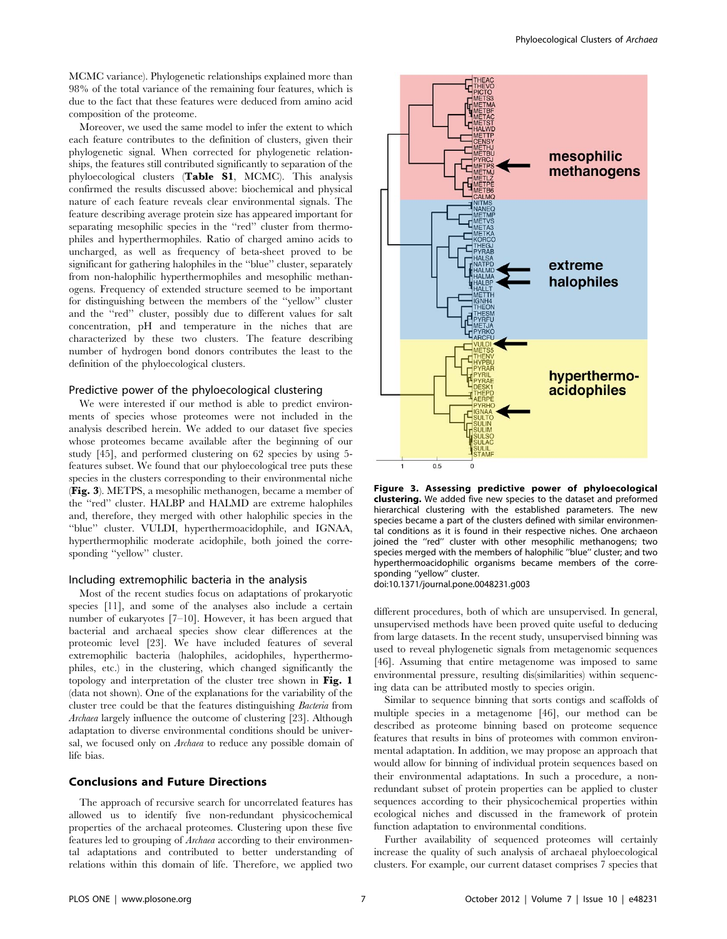MCMC variance). Phylogenetic relationships explained more than 98% of the total variance of the remaining four features, which is due to the fact that these features were deduced from amino acid composition of the proteome.

Moreover, we used the same model to infer the extent to which each feature contributes to the definition of clusters, given their phylogenetic signal. When corrected for phylogenetic relationships, the features still contributed significantly to separation of the phyloecological clusters (Table S1, MCMC). This analysis confirmed the results discussed above: biochemical and physical nature of each feature reveals clear environmental signals. The feature describing average protein size has appeared important for separating mesophilic species in the "red" cluster from thermophiles and hyperthermophiles. Ratio of charged amino acids to uncharged, as well as frequency of beta-sheet proved to be significant for gathering halophiles in the ''blue'' cluster, separately from non-halophilic hyperthermophiles and mesophilic methanogens. Frequency of extended structure seemed to be important for distinguishing between the members of the ''yellow'' cluster and the ''red'' cluster, possibly due to different values for salt concentration, pH and temperature in the niches that are characterized by these two clusters. The feature describing number of hydrogen bond donors contributes the least to the definition of the phyloecological clusters.

#### Predictive power of the phyloecological clustering

We were interested if our method is able to predict environments of species whose proteomes were not included in the analysis described herein. We added to our dataset five species whose proteomes became available after the beginning of our study [45], and performed clustering on 62 species by using 5 features subset. We found that our phyloecological tree puts these species in the clusters corresponding to their environmental niche (Fig. 3). METPS, a mesophilic methanogen, became a member of the ''red'' cluster. HALBP and HALMD are extreme halophiles and, therefore, they merged with other halophilic species in the ''blue'' cluster. VULDI, hyperthermoacidophile, and IGNAA, hyperthermophilic moderate acidophile, both joined the corresponding "yellow" cluster.

#### Including extremophilic bacteria in the analysis

Most of the recent studies focus on adaptations of prokaryotic species [11], and some of the analyses also include a certain number of eukaryotes [7–10]. However, it has been argued that bacterial and archaeal species show clear differences at the proteomic level [23]. We have included features of several extremophilic bacteria (halophiles, acidophiles, hyperthermophiles, etc.) in the clustering, which changed significantly the topology and interpretation of the cluster tree shown in Fig. 1 (data not shown). One of the explanations for the variability of the cluster tree could be that the features distinguishing Bacteria from Archaea largely influence the outcome of clustering [23]. Although adaptation to diverse environmental conditions should be universal, we focused only on Archaea to reduce any possible domain of life bias.

# Conclusions and Future Directions

The approach of recursive search for uncorrelated features has allowed us to identify five non-redundant physicochemical properties of the archaeal proteomes. Clustering upon these five features led to grouping of Archaea according to their environmental adaptations and contributed to better understanding of relations within this domain of life. Therefore, we applied two



Figure 3. Assessing predictive power of phyloecological clustering. We added five new species to the dataset and preformed hierarchical clustering with the established parameters. The new species became a part of the clusters defined with similar environmental conditions as it is found in their respective niches. One archaeon joined the "red" cluster with other mesophilic methanogens; two species merged with the members of halophilic ''blue'' cluster; and two hyperthermoacidophilic organisms became members of the corresponding ''yellow'' cluster.

doi:10.1371/journal.pone.0048231.g003

different procedures, both of which are unsupervised. In general, unsupervised methods have been proved quite useful to deducing from large datasets. In the recent study, unsupervised binning was used to reveal phylogenetic signals from metagenomic sequences [46]. Assuming that entire metagenome was imposed to same environmental pressure, resulting dis(similarities) within sequencing data can be attributed mostly to species origin.

Similar to sequence binning that sorts contigs and scaffolds of multiple species in a metagenome [46], our method can be described as proteome binning based on proteome sequence features that results in bins of proteomes with common environmental adaptation. In addition, we may propose an approach that would allow for binning of individual protein sequences based on their environmental adaptations. In such a procedure, a nonredundant subset of protein properties can be applied to cluster sequences according to their physicochemical properties within ecological niches and discussed in the framework of protein function adaptation to environmental conditions.

Further availability of sequenced proteomes will certainly increase the quality of such analysis of archaeal phyloecological clusters. For example, our current dataset comprises 7 species that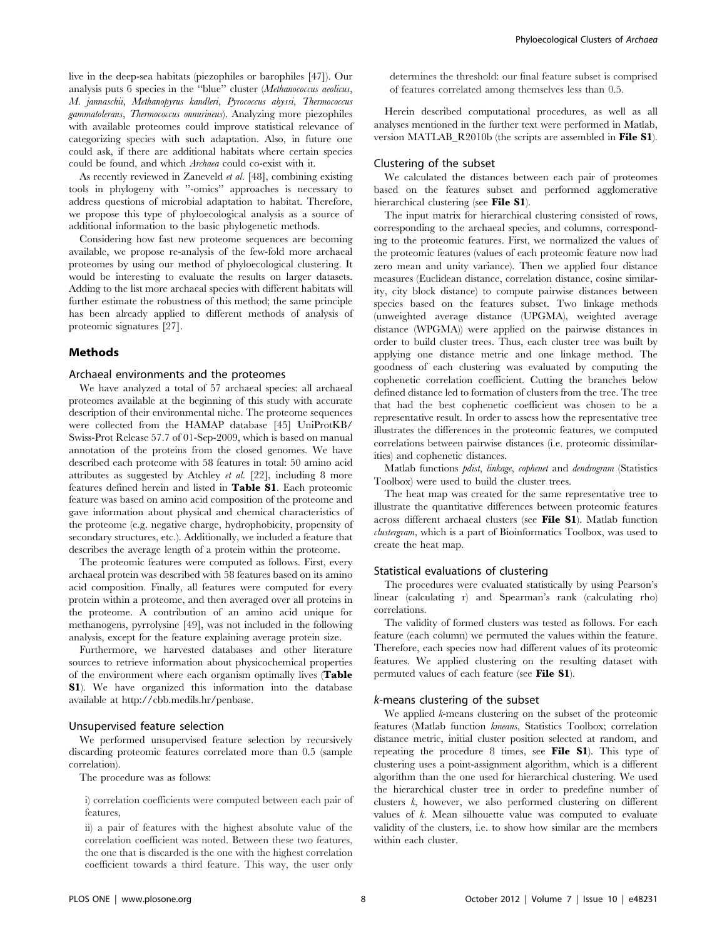live in the deep-sea habitats (piezophiles or barophiles [47]). Our analysis puts 6 species in the ''blue'' cluster (Methanococcus aeolicus, M. jannaschii, Methanopyrus kandleri, Pyrococcus abyssi, Thermococcus gammatolerans, Thermococcus onnurineus). Analyzing more piezophiles with available proteomes could improve statistical relevance of categorizing species with such adaptation. Also, in future one could ask, if there are additional habitats where certain species could be found, and which Archaea could co-exist with it.

As recently reviewed in Zaneveld et al. [48], combining existing tools in phylogeny with ''-omics'' approaches is necessary to address questions of microbial adaptation to habitat. Therefore, we propose this type of phyloecological analysis as a source of additional information to the basic phylogenetic methods.

Considering how fast new proteome sequences are becoming available, we propose re-analysis of the few-fold more archaeal proteomes by using our method of phyloecological clustering. It would be interesting to evaluate the results on larger datasets. Adding to the list more archaeal species with different habitats will further estimate the robustness of this method; the same principle has been already applied to different methods of analysis of proteomic signatures [27].

#### Methods

#### Archaeal environments and the proteomes

We have analyzed a total of 57 archaeal species: all archaeal proteomes available at the beginning of this study with accurate description of their environmental niche. The proteome sequences were collected from the HAMAP database [45] UniProtKB/ Swiss-Prot Release 57.7 of 01-Sep-2009, which is based on manual annotation of the proteins from the closed genomes. We have described each proteome with 58 features in total: 50 amino acid attributes as suggested by Atchley et al. [22], including 8 more features defined herein and listed in Table S1. Each proteomic feature was based on amino acid composition of the proteome and gave information about physical and chemical characteristics of the proteome (e.g. negative charge, hydrophobicity, propensity of secondary structures, etc.). Additionally, we included a feature that describes the average length of a protein within the proteome.

The proteomic features were computed as follows. First, every archaeal protein was described with 58 features based on its amino acid composition. Finally, all features were computed for every protein within a proteome, and then averaged over all proteins in the proteome. A contribution of an amino acid unique for methanogens, pyrrolysine [49], was not included in the following analysis, except for the feature explaining average protein size.

Furthermore, we harvested databases and other literature sources to retrieve information about physicochemical properties of the environment where each organism optimally lives (Table S1). We have organized this information into the database available at http://cbb.medils.hr/penbase.

#### Unsupervised feature selection

We performed unsupervised feature selection by recursively discarding proteomic features correlated more than 0.5 (sample correlation).

The procedure was as follows:

i) correlation coefficients were computed between each pair of features,

ii) a pair of features with the highest absolute value of the correlation coefficient was noted. Between these two features, the one that is discarded is the one with the highest correlation coefficient towards a third feature. This way, the user only determines the threshold: our final feature subset is comprised of features correlated among themselves less than 0.5.

Herein described computational procedures, as well as all analyses mentioned in the further text were performed in Matlab, version MATLAB\_R2010b (the scripts are assembled in File S1).

# Clustering of the subset

We calculated the distances between each pair of proteomes based on the features subset and performed agglomerative hierarchical clustering (see File S1).

The input matrix for hierarchical clustering consisted of rows, corresponding to the archaeal species, and columns, corresponding to the proteomic features. First, we normalized the values of the proteomic features (values of each proteomic feature now had zero mean and unity variance). Then we applied four distance measures (Euclidean distance, correlation distance, cosine similarity, city block distance) to compute pairwise distances between species based on the features subset. Two linkage methods (unweighted average distance (UPGMA), weighted average distance (WPGMA)) were applied on the pairwise distances in order to build cluster trees. Thus, each cluster tree was built by applying one distance metric and one linkage method. The goodness of each clustering was evaluated by computing the cophenetic correlation coefficient. Cutting the branches below defined distance led to formation of clusters from the tree. The tree that had the best cophenetic coefficient was chosen to be a representative result. In order to assess how the representative tree illustrates the differences in the proteomic features, we computed correlations between pairwise distances (i.e. proteomic dissimilarities) and cophenetic distances.

Matlab functions pdist, linkage, cophenet and dendrogram (Statistics Toolbox) were used to build the cluster trees.

The heat map was created for the same representative tree to illustrate the quantitative differences between proteomic features across different archaeal clusters (see File S1). Matlab function clustergram, which is a part of Bioinformatics Toolbox, was used to create the heat map.

#### Statistical evaluations of clustering

The procedures were evaluated statistically by using Pearson's linear (calculating r) and Spearman's rank (calculating rho) correlations.

The validity of formed clusters was tested as follows. For each feature (each column) we permuted the values within the feature. Therefore, each species now had different values of its proteomic features. We applied clustering on the resulting dataset with permuted values of each feature (see File S1).

#### k-means clustering of the subset

We applied *k*-means clustering on the subset of the proteomic features (Matlab function kmeans, Statistics Toolbox; correlation distance metric, initial cluster position selected at random, and repeating the procedure 8 times, see File S1). This type of clustering uses a point-assignment algorithm, which is a different algorithm than the one used for hierarchical clustering. We used the hierarchical cluster tree in order to predefine number of clusters k, however, we also performed clustering on different values of k. Mean silhouette value was computed to evaluate validity of the clusters, i.e. to show how similar are the members within each cluster.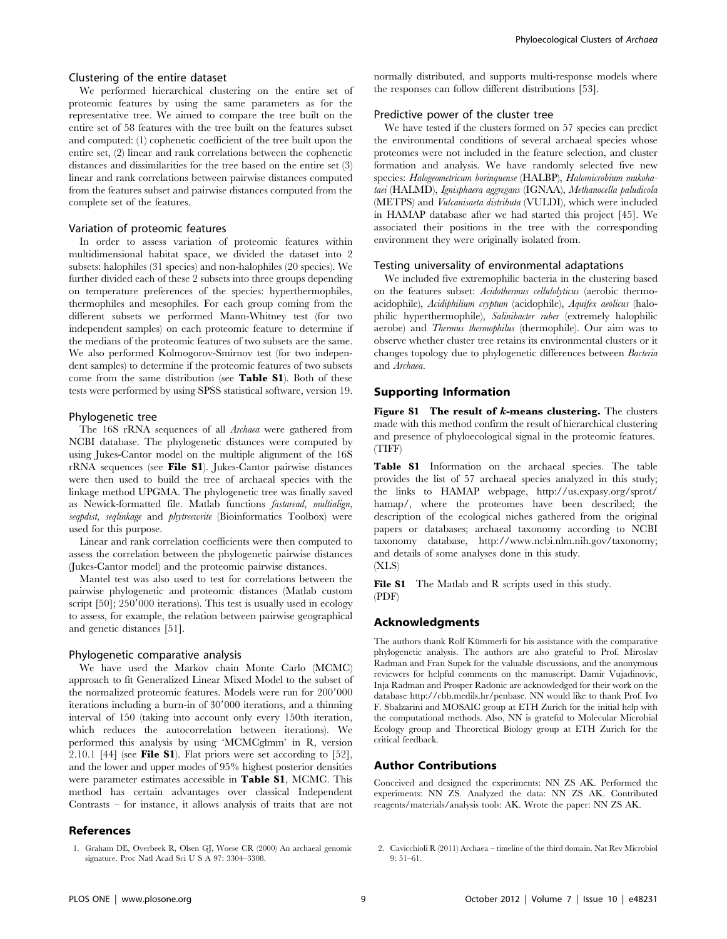#### Clustering of the entire dataset

We performed hierarchical clustering on the entire set of proteomic features by using the same parameters as for the representative tree. We aimed to compare the tree built on the entire set of 58 features with the tree built on the features subset and computed: (1) cophenetic coefficient of the tree built upon the entire set, (2) linear and rank correlations between the cophenetic distances and dissimilarities for the tree based on the entire set (3) linear and rank correlations between pairwise distances computed from the features subset and pairwise distances computed from the complete set of the features.

#### Variation of proteomic features

In order to assess variation of proteomic features within multidimensional habitat space, we divided the dataset into 2 subsets: halophiles (31 species) and non-halophiles (20 species). We further divided each of these 2 subsets into three groups depending on temperature preferences of the species: hyperthermophiles, thermophiles and mesophiles. For each group coming from the different subsets we performed Mann-Whitney test (for two independent samples) on each proteomic feature to determine if the medians of the proteomic features of two subsets are the same. We also performed Kolmogorov-Smirnov test (for two independent samples) to determine if the proteomic features of two subsets come from the same distribution (see Table S1). Both of these tests were performed by using SPSS statistical software, version 19.

#### Phylogenetic tree

The 16S rRNA sequences of all Archaea were gathered from NCBI database. The phylogenetic distances were computed by using Jukes-Cantor model on the multiple alignment of the 16S rRNA sequences (see File S1). Jukes-Cantor pairwise distances were then used to build the tree of archaeal species with the linkage method UPGMA. The phylogenetic tree was finally saved as Newick-formatted file. Matlab functions fastaread, multialign, seqpdist, seqlinkage and phytreewrite (Bioinformatics Toolbox) were used for this purpose.

Linear and rank correlation coefficients were then computed to assess the correlation between the phylogenetic pairwise distances (Jukes-Cantor model) and the proteomic pairwise distances.

Mantel test was also used to test for correlations between the pairwise phylogenetic and proteomic distances (Matlab custom script  $[50]$ ;  $250'000$  iterations). This test is usually used in ecology to assess, for example, the relation between pairwise geographical and genetic distances [51].

#### Phylogenetic comparative analysis

We have used the Markov chain Monte Carlo (MCMC) approach to fit Generalized Linear Mixed Model to the subset of the normalized proteomic features. Models were run for 200'000 iterations including a burn-in of 30'000 iterations, and a thinning interval of 150 (taking into account only every 150th iteration, which reduces the autocorrelation between iterations). We performed this analysis by using 'MCMCglmm' in R, version 2.10.1 [44] (see File S1). Flat priors were set according to  $[52]$ , and the lower and upper modes of 95% highest posterior densities were parameter estimates accessible in Table S1, MCMC. This method has certain advantages over classical Independent Contrasts – for instance, it allows analysis of traits that are not

#### References

1. Graham DE, Overbeek R, Olsen GJ, Woese CR (2000) An archaeal genomic signature. Proc Natl Acad Sci U S A 97: 3304–3308.

normally distributed, and supports multi-response models where the responses can follow different distributions [53].

#### Predictive power of the cluster tree

We have tested if the clusters formed on 57 species can predict the environmental conditions of several archaeal species whose proteomes were not included in the feature selection, and cluster formation and analysis. We have randomly selected five new species: Halogeometricum borinquense (HALBP), Halomicrobium mukohataei (HALMD), Ignisphaera aggregans (IGNAA), Methanocella paludicola (METPS) and Vulcanisaeta distributa (VULDI), which were included in HAMAP database after we had started this project [45]. We associated their positions in the tree with the corresponding environment they were originally isolated from.

#### Testing universality of environmental adaptations

We included five extremophilic bacteria in the clustering based on the features subset: Acidothermus cellulolyticus (aerobic thermoacidophile), Acidiphilium cryptum (acidophile), Aquifex aeolicus (halophilic hyperthermophile), Salinibacter ruber (extremely halophilic aerobe) and Thermus thermophilus (thermophile). Our aim was to observe whether cluster tree retains its environmental clusters or it changes topology due to phylogenetic differences between Bacteria and Archaea.

#### Supporting Information

Figure S1 The result of  $k$ -means clustering. The clusters made with this method confirm the result of hierarchical clustering and presence of phyloecological signal in the proteomic features. (TIFF)

Table S1 Information on the archaeal species. The table provides the list of 57 archaeal species analyzed in this study; the links to HAMAP webpage, http://us.expasy.org/sprot/ hamap/, where the proteomes have been described; the description of the ecological niches gathered from the original papers or databases; archaeal taxonomy according to NCBI taxonomy database, http://www.ncbi.nlm.nih.gov/taxonomy; and details of some analyses done in this study.

(XLS)

File S1 The Matlab and R scripts used in this study. (PDF)

# Acknowledgments

The authors thank Rolf Kümmerli for his assistance with the comparative phylogenetic analysis. The authors are also grateful to Prof. Miroslav Radman and Fran Supek for the valuable discussions, and the anonymous reviewers for helpful comments on the manuscript. Damir Vujadinovic, Inja Radman and Prosper Radonic are acknowledged for their work on the database http://cbb.medils.hr/penbase. NN would like to thank Prof. Ivo F. Sbalzarini and MOSAIC group at ETH Zurich for the initial help with the computational methods. Also, NN is grateful to Molecular Microbial Ecology group and Theoretical Biology group at ETH Zurich for the critical feedback.

#### Author Contributions

Conceived and designed the experiments: NN ZS AK. Performed the experiments: NN ZS. Analyzed the data: NN ZS AK. Contributed reagents/materials/analysis tools: AK. Wrote the paper: NN ZS AK.

2. Cavicchioli R (2011) Archaea – timeline of the third domain. Nat Rev Microbiol 9: 51–61.